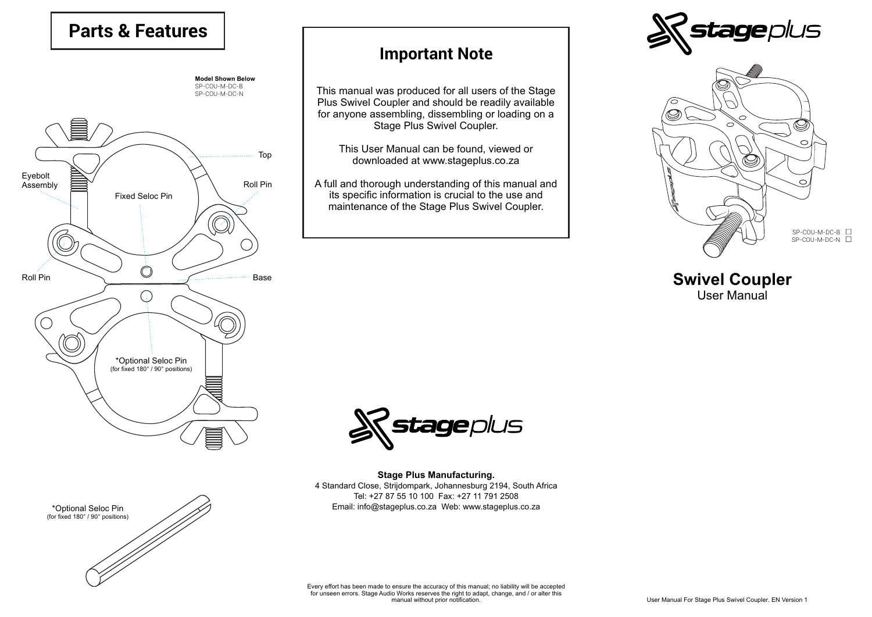## **Parts & Features**



## **Important Note**

This manual was produced for all users of the Stage Plus Swivel Coupler and should be readily available for anyone assembling, dissembling or loading on a Stage Plus Swivel Coupler.

This User Manual can be found, viewed or downloaded at www.stageplus.co.za

A full and thorough understanding of this manual and its specific information is crucial to the use and maintenance of the Stage Plus Swivel Coupler.





**Swivel Coupler** User Manual



**Stage Plus Manufacturing.** 4 Standard Close, Strijdompark, Johannesburg 2194, South Africa Tel: +27 87 55 10 100 Fax: +27 11 791 2508 Email: info@stageplus.co.za Web: www.stageplus.co.za

\*Optional Seloc Pin (for fixed 180° / 90° positions)

Every effort has been made to ensure the accuracy of this manual; no liability will be accepted for unseen errors. Stage Audio Works reserves the right to adapt, change, and / or alter this manual without prior notification.